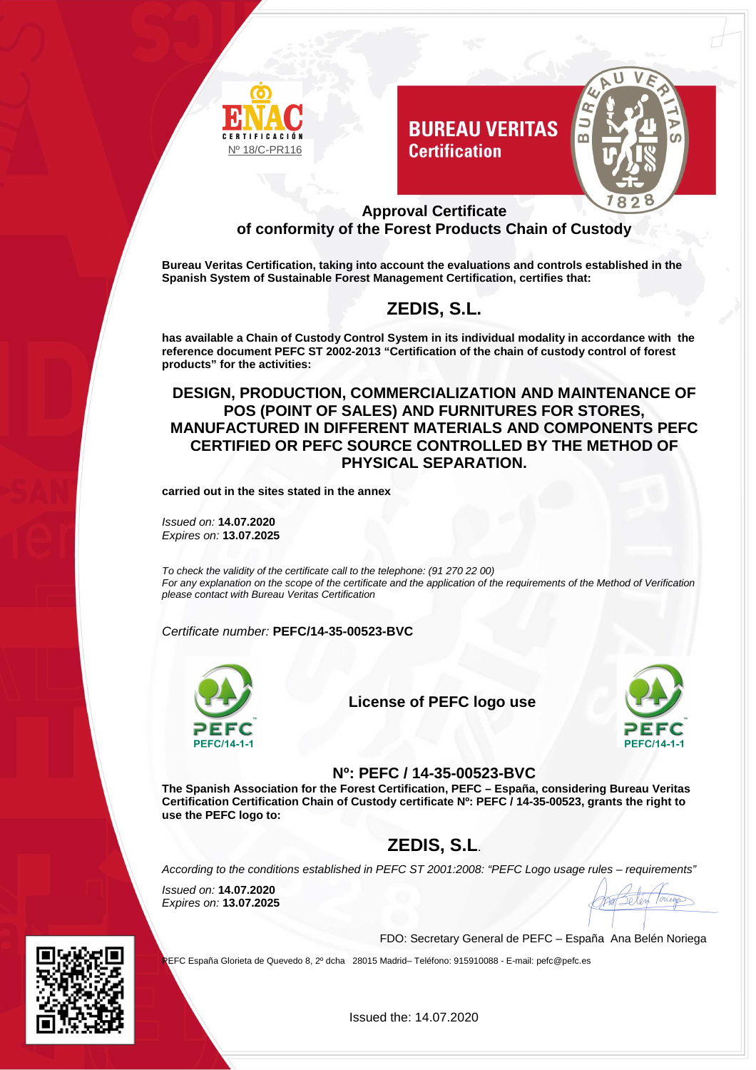



### **Approval Certificate of conformity of the Forest Products Chain of Custody**

**Bureau Veritas Certification, taking into account the evaluations and controls established in the Spanish System of Sustainable Forest Management Certification, certifies that:** 

## **ZEDIS, S.L.**

**has available a Chain of Custody Control System in its individual modality in accordance with the reference document PEFC ST 2002-2013 "Certification of the chain of custody control of forest products" for the activities:** 

**DESIGN, PRODUCTION, COMMERCIALIZATION AND MAINTENANCE OF POS (POINT OF SALES) AND FURNITURES FOR STORES, MANUFACTURED IN DIFFERENT MATERIALS AND COMPONENTS PEFC CERTIFIED OR PEFC SOURCE CONTROLLED BY THE METHOD OF PHYSICAL SEPARATION.** 

**carried out in the sites stated in the annex** 

Issued on: **14.07.2020** Expires on: **13.07.2025**

To check the validity of the certificate call to the telephone: (91 270 22 00) For any explanation on the scope of the certificate and the application of the requirements of the Method of Verification please contact with Bureau Veritas Certification

Certificate number: **PEFC/14-35-00523-BVC**



**License of PEFC logo use** 



#### **Nº: PEFC / 14-35-00523-BVC**

**The Spanish Association for the Forest Certification, PEFC – España, considering Bureau Veritas Certification Certification Chain of Custody certificate Nº: PEFC / 14-35-00523, grants the right to use the PEFC logo to:** 

# **ZEDIS, S.L**.

According to the conditions established in PEFC ST 2001:2008: "PEFC Logo usage rules – requirements"

Issued on: **14.07.2020** Expires on: **13.07.2025**



FDO: Secretary General de PEFC – España Ana Belén Noriega

PEFC España Glorieta de Quevedo 8, 2º dcha 28015 Madrid– Teléfono: 915910088 - E-mail: pefc@pefc.es

Issued the: 14.07.2020